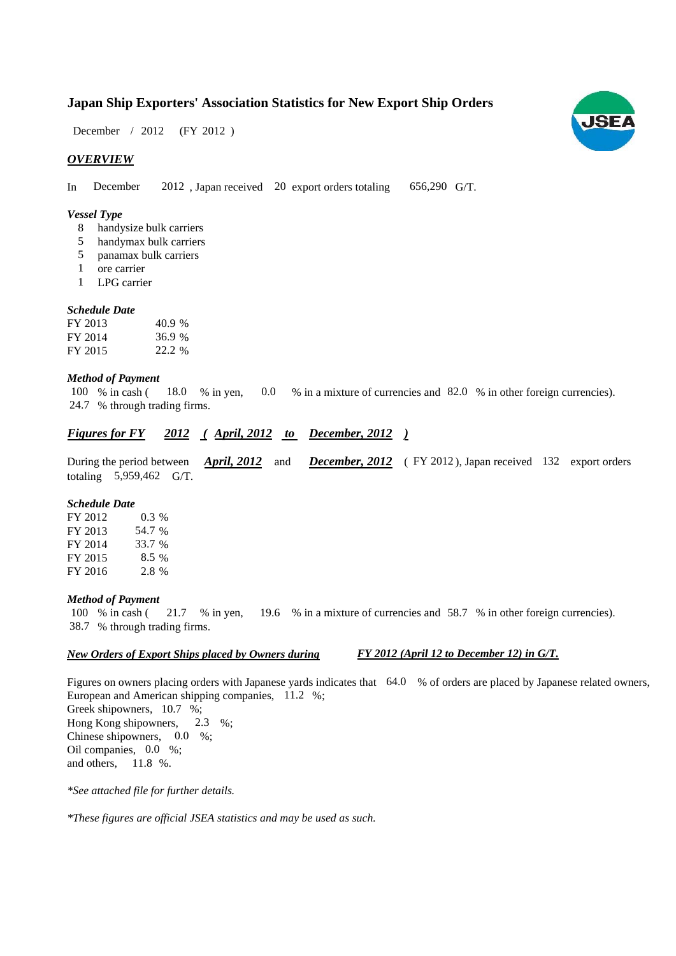## **Japan Ship Exporters' Association Statistics for New Export Ship Orders**

December / 2012 (FY 2012)

## *OVERVIEW*

In December 2012, Japan received 20 export orders totaling 656,290 G/T. 656,290 G/T.

#### *Vessel Type*

- handysize bulk carriers 8
- handymax bulk carriers 5
- panamax bulk carriers 5
- ore carrier 1
- LPG carrier 1

#### *Schedule Date*

| FY 2013 | 40.9 % |
|---------|--------|
| FY 2014 | 36.9%  |
| FY 2015 | 22.2 % |

#### *Method of Payment*

100 % in cash (18.0 % in yen, 0.0 % in a mixture of currencies and 82.0 % in other foreign currencies). % through trading firms. 24.7 0.0

## *Figures for FY* 2012 (April, 2012 to December, 2012)

During the period between *April, 2012* and *December, 2012* (FY 2012), Japan received 132 export orders totaling  $5,959,462$  G/T. *April, 2012*

#### *Schedule Date*

| FY 2012 | $0.3\%$ |
|---------|---------|
| FY 2013 | 54.7 %  |
| FY 2014 | 33.7 %  |
| FY 2015 | 8.5%    |
| FY 2016 | 2.8 %   |

#### *Method of Payment*

% in cash ( $\frac{21.7}{8}$  in yen,  $\frac{19.6}{8}$  in a mixture of currencies and 58.7 % in other foreign currencies). % through trading firms. 38.7 100 % in cash (21.7 % in yen,

### *New Orders of Export Ships placed by Owners during*

## *FY 2012 (April 12 to December 12) in G/T.*

Figures on owners placing orders with Japanese yards indicates that  $64.0\%$  of orders are placed by Japanese related owners, European and American shipping companies,  $11.2\%$ ; Greek shipowners, 10.7 %; Hong Kong shipowners, Chinese shipowners,  $0.0\%$ ; Oil companies, 0.0 %; and others,  $11.8\%$ .  $2.3 \%$ 

*\*See attached file for further details.*

*\*These figures are official JSEA statistics and may be used as such.*

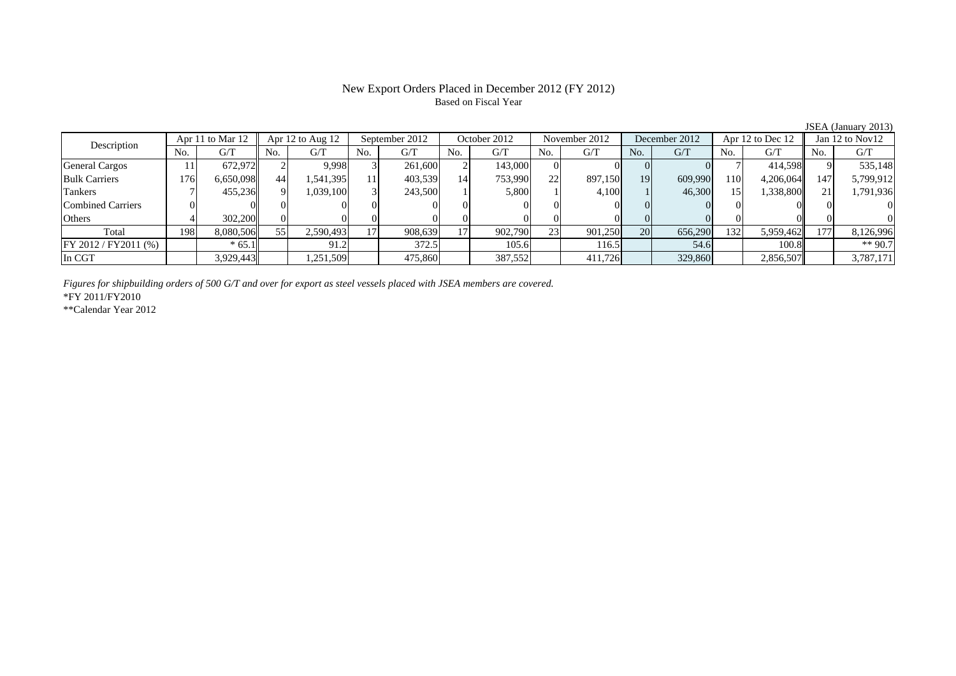## New Export Orders Placed in December 2012 (FY 2012) Based on Fiscal Year

| Description           |     | Apr 11 to Mar 12 | Apr 12 to Aug 12 |           | September 2012 |         | October 2012 |         | November 2012 |         | December 2012 |         | Apr 12 to Dec 12 |           | Jan 12 to Nov12 |           |
|-----------------------|-----|------------------|------------------|-----------|----------------|---------|--------------|---------|---------------|---------|---------------|---------|------------------|-----------|-----------------|-----------|
|                       | No. | G/T              | No.              | G/T       | No.            | G/T     | No.          | G/T     | No.           | G/T     | No.           | G/T     | No.              | G/T       | No.             | G/T       |
| <b>General Cargos</b> |     | 672.972          |                  | 9.998     |                | 261,600 |              | 143,000 |               |         |               |         |                  | 414.598   |                 | 535,148   |
| <b>Bulk Carriers</b>  | 176 | 6,650,098        | 44               | .541,395  |                | 403,539 | 14           | 753,990 | 22            | 897,150 | <b>19</b>     | 609,990 | 110              | 4,206,064 | 147             | 5,799,912 |
| Tankers               |     | 455,236          |                  | 1.039.100 |                | 243,500 |              | 5,800   |               | 4,100   |               | 46,300  |                  | 1,338,800 |                 | 1,791,936 |
| Combined Carriers     |     |                  |                  |           |                |         |              |         |               |         |               |         |                  |           |                 |           |
| Others                |     | 302,200          |                  |           |                |         |              |         |               |         |               |         |                  |           |                 |           |
| Total                 | 198 | 8,080,506        | 55               | 2,590,493 |                | 908,639 |              | 902,790 | 23            | 901,250 | 20            | 656,290 | 132              | 5,959,462 | 177             | 8,126,996 |
| FY 2012 / FY2011 (%)  |     | $*65.1$          |                  | 91.2      |                | 372.5   |              | 105.6   |               | 116.5   |               | 54.6    |                  | 100.8     |                 | ** 90.7   |
| In CGT                |     | 3,929,443        |                  | ,251,509  |                | 475,860 |              | 387,552 |               | 411,726 |               | 329,860 |                  | 2,856,507 |                 | 3,787,171 |

*Figures for shipbuilding orders of 500 G/T and over for export as steel vessels placed with JSEA members are covered.*

\*FY 2011/FY2010

\*\*Calendar Year 2012

JSEA (January 2013)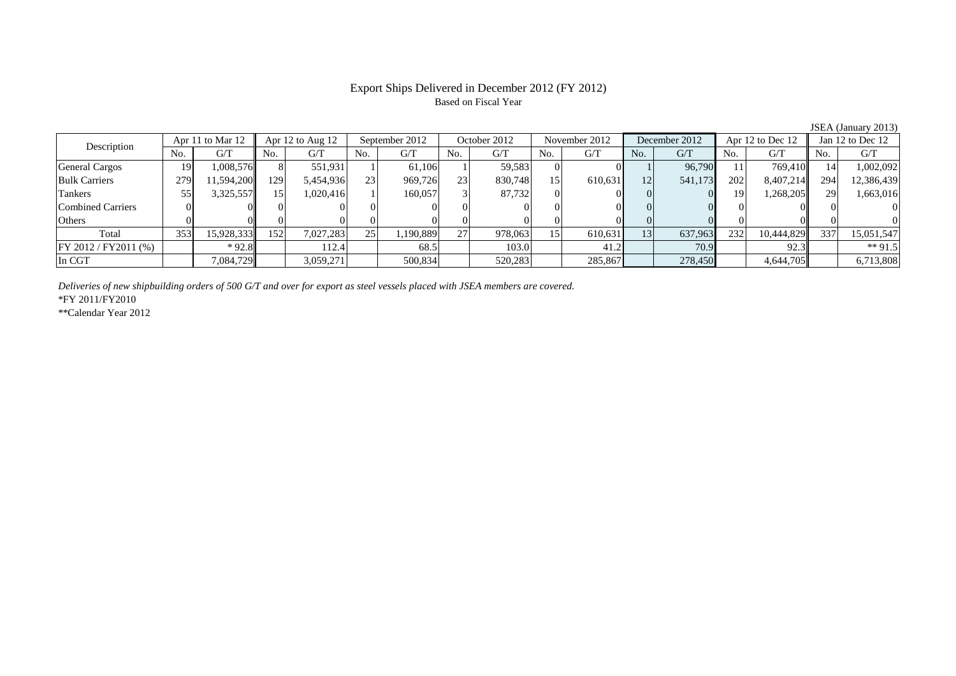## Export Ships Delivered in December 2012 (FY 2012) Based on Fiscal Year

| Description          |     | Apr 11 to Mar 12 |      | Apr $12$ to Aug $12$ |     | September 2012 |                 | October 2012 |                 | November 2012 |     | December 2012 |     | Apr 12 to Dec 12 |           | Jan $12$ to Dec $12$ |
|----------------------|-----|------------------|------|----------------------|-----|----------------|-----------------|--------------|-----------------|---------------|-----|---------------|-----|------------------|-----------|----------------------|
|                      | No. | G/T              | No.  | G/T                  | No. | G/T            | No.             | G/T          | No.             | G/T           | No. | G/T           | No. | G/T              | No.       | G/T                  |
| General Cargos       | 19  | 1.008.576        |      | 551.931              |     | 61.106         |                 | 59.583       |                 |               |     | 96,790        |     | 769.410          | 14        | 1,002,092            |
| <b>Bulk Carriers</b> | 279 | 1,594,200        | 1291 | 5,454,936            | 23  | 969,726        | 23 <sub>1</sub> | 830,748      | 15 <sup>1</sup> | 610,631       | 12  | 541,173       | 202 | 8,407,214        | 294       | 12,386,439           |
| Tankers              | 55  | 3,325,557        | 15   | 1.020.416            |     | 160,057        |                 | 87,732       |                 |               |     |               | 19  | 1,268,205        | <b>29</b> | 1,663,016            |
| Combined Carriers    |     |                  |      |                      |     |                |                 |              |                 |               |     |               |     |                  |           |                      |
| Others               |     |                  |      |                      |     |                |                 |              |                 |               |     |               |     |                  |           |                      |
| Total                | 353 | 15,928,333       | 152  | 7.027.283            | 25  | .190,889       | 27              | 978,063      | 15              | 610,631       | 13  | 637,963       | 232 | 10.444.829       | 337       | 15,051,547           |
| FY 2012 / FY2011 (%) |     | $*92.8$          |      | 112.4                |     | 68.5           |                 | 103.0        |                 | 41.2          |     | 70.9          |     | 92.3             |           | $*$ 91.5             |
| In CGT               |     | 7.084.729        |      | 3,059,271            |     | 500,834        |                 | 520,283      |                 | 285,867       |     | 278,450       |     | 4,644,705        |           | 6,713,808            |

*Deliveries of new shipbuilding orders of 500 G/T and over for export as steel vessels placed with JSEA members are covered.*

\*FY 2011/FY2010

\*\*Calendar Year 2012

JSEA (January 2013)